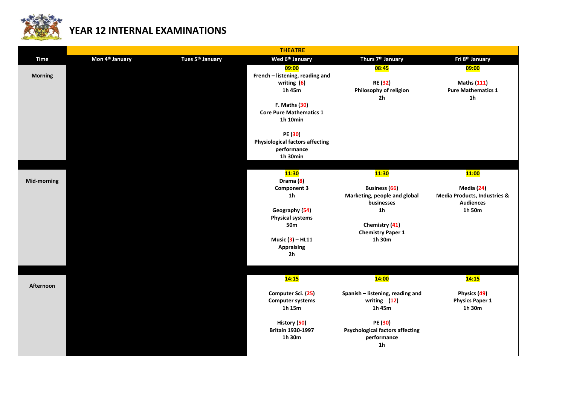

## **YEAR 12 INTERNAL EXAMINATIONS**

|                |                             |                              | <b>THEATRE</b>                         |                                        |                              |
|----------------|-----------------------------|------------------------------|----------------------------------------|----------------------------------------|------------------------------|
| <b>Time</b>    | Mon 4 <sup>th</sup> January | Tues 5 <sup>th</sup> January | Wed 6 <sup>th</sup> January            | Thurs 7 <sup>th</sup> January          | Fri 8th January              |
|                |                             |                              | 09:00                                  | 08:45                                  | 09:00                        |
| <b>Morning</b> |                             |                              | French - listening, reading and        |                                        |                              |
|                |                             |                              | writing $(6)$                          | <b>RE (32)</b>                         | <b>Maths (111)</b>           |
|                |                             |                              | 1h 45m                                 | Philosophy of religion                 | <b>Pure Mathematics 1</b>    |
|                |                             |                              |                                        | 2 <sub>h</sub>                         | 1 <sub>h</sub>               |
|                |                             |                              | F. Maths (30)                          |                                        |                              |
|                |                             |                              | <b>Core Pure Mathematics 1</b>         |                                        |                              |
|                |                             |                              | 1h 10min                               |                                        |                              |
|                |                             |                              | PE (30)                                |                                        |                              |
|                |                             |                              | <b>Physiological factors affecting</b> |                                        |                              |
|                |                             |                              | performance                            |                                        |                              |
|                |                             |                              | $1h$ 30 $min$                          |                                        |                              |
|                |                             |                              |                                        |                                        |                              |
|                |                             |                              | <b>11:30</b>                           | <b>11:30</b>                           | <b>11:00</b>                 |
| Mid-morning    |                             |                              | Drama (8)                              |                                        |                              |
|                |                             |                              | <b>Component 3</b>                     | <b>Business</b> (66)                   | Media (24)                   |
|                |                             |                              | 1 <sub>h</sub>                         | Marketing, people and global           | Media Products, Industries & |
|                |                             |                              |                                        | businesses                             | <b>Audiences</b>             |
|                |                             |                              | Geography (54)                         | 1 <sub>h</sub>                         | 1h 50m                       |
|                |                             |                              | <b>Physical systems</b>                |                                        |                              |
|                |                             |                              | 50 <sub>m</sub>                        | Chemistry (41)                         |                              |
|                |                             |                              |                                        | <b>Chemistry Paper 1</b>               |                              |
|                |                             |                              | Music $(3)$ – HL11                     | 1h 30m                                 |                              |
|                |                             |                              | <b>Appraising</b>                      |                                        |                              |
|                |                             |                              | 2 <sub>h</sub>                         |                                        |                              |
|                |                             |                              |                                        |                                        |                              |
|                |                             |                              | 14:15                                  | <b>14:00</b>                           | 14:15                        |
| Afternoon      |                             |                              |                                        |                                        |                              |
|                |                             |                              | Computer Sci. (25)                     | Spanish - listening, reading and       | Physics (49)                 |
|                |                             |                              | <b>Computer systems</b>                | writing (12)                           | <b>Physics Paper 1</b>       |
|                |                             |                              | 1h 15m                                 | 1h 45m                                 | 1h 30m                       |
|                |                             |                              |                                        |                                        |                              |
|                |                             |                              | History (50)                           | PE (30)                                |                              |
|                |                             |                              | Britain 1930-1997                      | <b>Psychological factors affecting</b> |                              |
|                |                             |                              | 1h 30m                                 | performance                            |                              |
|                |                             |                              |                                        | 1 <sub>h</sub>                         |                              |
|                |                             |                              |                                        |                                        |                              |